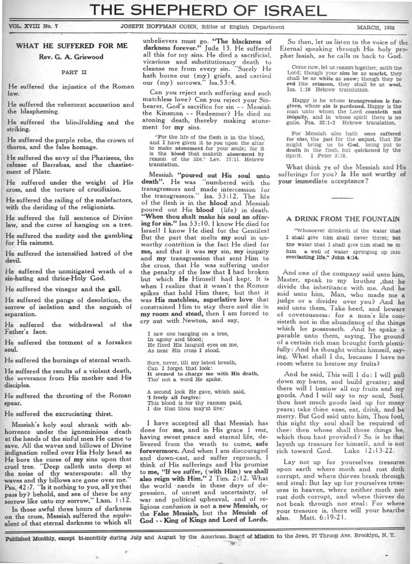VOL. XVIII No. 7 **JOSEPH HOFFMAN COHN**, Editor of English Department MARCH, 1936

### **WHAT HE SUFFERED FOR ME**

**Rev. G. A. Griswood** 

#### **PART II**

**He suffered the injustice of the Roman law.** 

**He suffered the vehement accusation and the blaspheming.** 

**He suffered the blindfolding and the striking.** 

**He suffered the purple robe, the crown of thorns, and the false homage.** 

**He suffered the envy of the Pharisees, the release of Barrabas, and the chastisement of Pilate.** 

**He suffered under the weight of His cross, and the torture of crucifixion.** 

**He suffered the railing of the malefactors, with the deriding of the religionists.** 

**He suffered the full sentence of Divine law, and the curse of hanging on a tree.** 

**He suffered the nudity and the gambling for His raiment.** 

**He suffered the intensified hatred of the devil.** 

**He suffered the unmitigated wrath of a sin-hating and thrice-Holy God.** 

**He suffered the vinegar and the gall.** 

**He suffered the pangs of desolation, the sorrow of isolation and the anguish of separation.** 

**He suffered the withdrawal of the Father's face.** 

**He suffered the torment of a forsaken soul.** 

**He suffered the burnings of eternal wrath.** 

**He suffered the results of a violent death, the severance from His mother and His disciples.** 

**He suffered the thrusting of the Roman spear.** 

**He suffered the excruciating thirst.** 

**Messiah's holy soul shrank with abhorrence under the ignominious death at the hands of the sinful men He came to save. All the waves and billows of Divine indignation rolled over His Holy head as He bore the curse of my sins upon that cruel tree. "Deep calleth unto deep at the noise of thy waterspouts: all thy**  waves and thy billows are gone over me.<sup>1</sup> **Psa. 42:7. "Is it nothing to you, all ye that pass by? behold, and see of there be any**  sorrow like unto my sorrow," Lam. 1:12.

**In those awful three hours of darkness on the cross, Messiah suffered the equivalent of that eternal darkness to which all** 

**unbelievers must go. "The blackness of darkness forever." Jude 13. He suffered all this for my sins. He died a sacrificial, vicarious and substitutionary death to cleanse me from every sin. "Surely He hath borne our (my) griefs, and carried our (my) sorrows." Isa.53:4.** 

**Can you reject such suffering and such matchless love? Can you reject your Sinbearer, God's sacrifice for sin - - Messiah the Kinsman - - Redeemer? He died an atoning death, thereby making atonement for my sins.** 

**"For the life of the flesh is in the blood, and I have given it to you upon the altar to make atonement for your souls; for it is the blood that maketh atonement by**  reason of the life." Lev. 17:11. Hebrew **translation.** 

**Messiah "poured out His soul unto death". He was "numbered with the transgressors and made intercession for the transgressors.- Isa. 53:12. The life of the flesh is in the blood and Messiah poured out His blood (life) in death. "When thou shalt make his soul an offering for sin." Isa 53:10. 1 know He died for Israel! I know He died for the Gentiles! But the part that melts my soul in unworthy contrition is the fact He died for me, and that it was my sin, my iniquity and my transgression that sent Him to the cross, that He was suffering under the penalty of the law that I had broken but which He Himself had kept. It is when I realize that it wasn't the Roman spikes that held Him there, but that it was His matchless, superlative love that constrained Him to stay there and die in my room and stead, then I am forced to cry out with Newton, and say,** 

**I saw one hanging on a tree, In agony and blood; He fixed His languid eyes on me, As near His cross I stood.** 

**Sure, never, till my latest breath, Can I forget that look: It seemed to charge me with His death, Tho' not a word He spoke.** 

**A second look He gave, which said, 'I freely all forgive: This blood is for thy ransom paid, I die that thou may'st live.'** 

**I have accepted all that Messiah has done for me, and in His grace I rest, having sweet peace and eternal life, delivered from the wrath to come, safe forevermore. And when I am discouraged and down-cast, and suffer reproach, I think of His sufferings and His promise to me, "If we suffer, (with Him) we shall also reign with Him." 2 Tim. 2:12. What**  the world needs in these days of de**pression, of unrest and uncertainty, of war and political upheaval, and of religious confusion is not a new Messiah, or the False Messiah, but the Messiah of God - - King of Kings and Lord of Lords.** 

**So then, let us listen to the voice of the Eternal speaking through His holy prophet Isaiah, as he calls us back to God.** 

**Come now, let us reason together, saith the Lord; though your sins be as scarlet, they shall be as white as snow; though they be red like crimson, they shall be as wool. Isa. 1:18 Hebrew translation.** 

**Happy is he whose transgression is forgiven, whose sin is pardoned. Happy is the man unto whom the Lord counteth not iniquity, and in whose spirit there is no guile. Psa. 32:1-2 Hebrew translation.** 

**For Messiah also hath once suffered for sins, the just for the unjust, that He might bring us to God, being put to death in the flesh, but quickened by the Spirit. I Peter 3:18.** 

**What think ye of the Messiah and His sufferings for you? Is He not worthy of your immediate acceptance?** 

#### **A DRINK FROM THE FOUNTAIN**

**"Whosoever drinketh of the water that I shall give him shall never thirst; but the water that I shall give him shall be in him a well of water springing up into everlasting life." John 4:14.** 

**And one of the company said unto him, Master, speak to my brother ,that** he **divide the inheritance with me. And he said unto him, Man, who made me a judge or a divider over you? And he said unto them, Take heed, and beware of covetousness: for a man's life consisteth not in the abundance of the things which he possesseth. And he spake a parable unto them, saying, The ground of a certain rich man brought forth plentifully: And he thought within himself, saying, What shall I do, because I have no room where to bestow my fruits?** 

**And he said, This will I do: I will pull down my barns, and build greater; and there will I bestow all my fruits and my goods. And I will say to my soul, Soul, thou hast much goods laid up for many years; take thine ease, eat, drink, and be merry. But God said unto him, Thou fool, this night thy soul shall be required of thee: then whose shall those things be, which thou hast provided? So is he that layeth up treasure for himself, and is not**  rich toward God.

**Lay not up for yourselves treasures**  upon earth where moth and rust doth **corrupt, and where thieves break through and steal: But lay up for yourselves treasures in heaven, where neither moth nor rust doth corrupt, and where thieves do not beak through nor steal: For where your treasure is, there will your heartbe also. Matt. 6:19-21.** 

**Published Monthly, except hi-monthly during July and August by the American Board of Mission to the Jews, 27 Throop Ave. Brooklyn, N. Y.**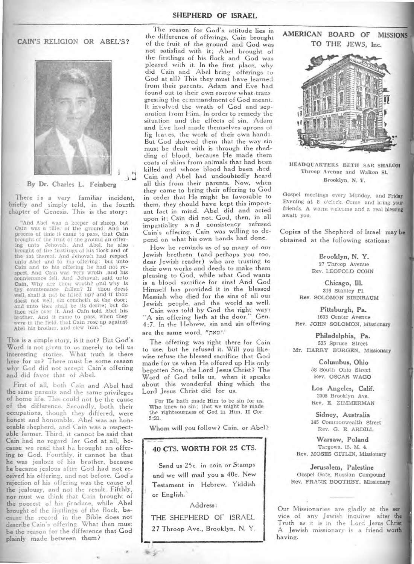**CAIN'S RELIGION OR ABEL'S?** 



**By Dr. Charles L. Feinberg** 

There is a very familiar incident, briefly and simply told, in the fourth chapter of Genesis. This is the story:

"And Abel was a keeper of sheep, but Cain was a tiller of the ground. And in process of time it came to pass, that Cain brought of the fruit of the ground an offering unto Jehovah. And Abel, he also brought of the firstlings of his flock and of the fat thereof. And Jehovah had respect unto Abel and to his offering: but unto Cain and to his offering he had not respect. And Cain was very wroth ,and his countenance fell. And Jehovah said unto Cain, Why are thou wroth? and why is thy countenance fallen? If thou doest. well, shall it not be lifted up? and if thou doest not well, sin coucheth at the door; and unto thee shall be its desire; but do thou rule over it. And Cain told Abel his brother. And it came to pass, when they were in the field. that Cain rose up against Abel his brother, and slew him."

This is a simple story, is it not? But God's Word is not given to us merely to tell us interesting stories. What truth is there here for us? There must be some reason why God did not accept Cain's offering and did favor that of Abel.

First of all, both Cain and Abel had the same parents and the same privileges of home life. This could not be the cause of the difference. Secondly, both their occupations, though they differed, were honest and honorable. Abel was an honorable shepherd, and Cain was a respectable farmer. Third, it cannot be said that Cain had no regard for God at all, because we read that he brought an offering to God. Fourthly, it cannot be that he was jealous of his brother, because he became jealous after God had not received his offering, and not before. God's rejection of his offering was the cause of the jealousy, and not the result. Fifthly, nor must we think that Cain brought of the poorest of his produce, while Abel brought of the firstlings of the flock, be- \_ cause the record in the Bible does not describe Cain's offering. What then must be the reason for the difference that God plainly made between them?

The reason for God's attitude lies in the difference of offerings. Cain brought of the fruit of the ground and God was not satisfied with it; Abel brought of the firstlings of his flock and God was pleased with it. In the first place, why did Cain and Abel bring offerings to God at all? This they must have learned from their parents. Adam and Eve had found out to their own sorrow what trans gressing the commandment of God meant. It involved the wrath of God and separation from Him. In order to remedy the situation and the effects of sin, Adam and Eve had made themselves aprons of fig leaves, the work of their own hands. But God showed them that the way sin must be dealt with is through the shedding of blood, because He made them coats of skins from animals that had been killed and whose blood had been ,hed. Cain and Abel had undoubtedly heard all this from their parents. Now, when they came to bring their offering to God in order that He might be favorable to them, they should have kept this important fact in mind. Abel did and acted upon it; Cain did not. God, then, in all impartiality a n d consistency refused Cain's offering. Cain was willing to depend on what his own hands had done.

How he reminds us of so many of our Jewish brethren (and perhaps you too, dear Jewish reader) who are trusting to their own works and deeds to make them pleasing to God, while what God wants is a blood sacrifice for sins1 And God Himself has provided it in the blessed Messiah who died for the sins of all our Jewish people, and the world as well.

Cain was told by God the right way: "A sin offering lieth at the door." Gen. 4:7. In the Hebrew, sin and sin offering are the same word, **nrimn'•** 

The offering was right there for Cain to use, but he refused it. Will you like- wise refuse the blessed sacrifice that God made for us when He offered up His only begotten Son, the Lord Jesus Christ? The Word of God tells us, when it speaks about this wonderful thing which the Lord Jesus Christ did for us,

For He hath made Him to be sin for us, Who knew no sin; that we might be made the righteousness of God in Him. II Cor. 5:21.

Whom will you follow? Cain, or Abel?

## **40 CTS. WORTH FOR 25 CTS.**

Send us 25c. in coin or Stamps **and** we will mail you a 40c. New Testament in Hebrew, Yiddish or English.

Address:

**THE SHEPHERD OF ISRAEL 27** Throop Ave., Brooklyn, N. Y. **AMERICAN BOARD OF MISSIONS TO THE JEWS, Inc.** 



HEADQUARTERS BETH SAR SHALO Throop Avenue and Walton St. Brooklyn, N. Y.

Gospel meetings every Monday, and Friday Evening at 8 o'clock. Come and bring your friends. A warm welcome and a real blessing await you.

Copies of the Shepherd of Israel may obtained at the following stations:

> **Brooklyn, N. Y.**  27 Throop Avenue Rev. LEOPOLD COHN

**Chicago, Ill.**  316 Stanley Pl. Rev. SOLOMON BIRNBAUM

**Pittsburgh, Pa.**  1603 Center Avenue Rev. JOHN SOLOMON, Missionary

**Philadelphia, Pa.**  535 Spruce Street Mr. HARRY BURGEN, Missionary

> **Columbus, Ohio**  58 South Ohio Street Rev. OSCAR WAGO

**Los Angeles, Calif.**  2005 Brooklyn Ave. Rev. E. ZIMMERMAN

**Sidney, Australia**  145 Commonwealth Street Rev. G. E. ARDILL

**Warsaw, Poland**  Targowa. 15. M. 4. Rev. MOSES GITLIN, Missionary

**Jerusalem, Palestine**  Gospel Gate, Russian Compound Rev. FRANK BOOTHBY, Missionary

Our Missionaries are gladly at the ser vice of any Jewish inquirer after th Truth as it is in the Lord Jesus Christ A Jewish missionary is a friend wor having.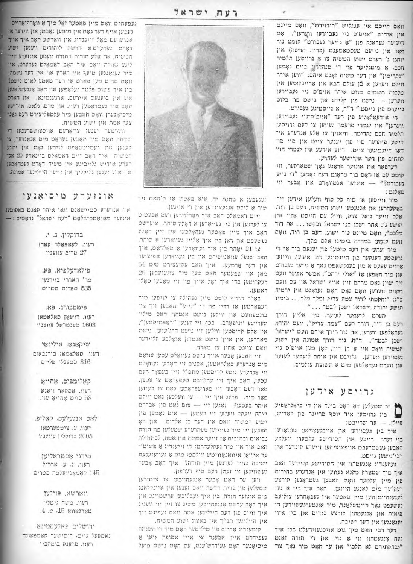וואָם הייסט אין ענגליש "ריבוירט", וואָם מיינט אין אידיש "אויפ'ס ניי געבוירען ווערען". אָט דיעזער געדאנק פון "א נייער געבורט" קומט נור פאָר אין נייעם טעסטאַמענט (ברית חדשה) אין יוחנן ג' רעדם ישוע המשיח צו אַ גרויסען תלמיר חכם. א מיטגליער פון די סנהדריו ביים נאמען "נקדימון" און דער משיח זאָגט איהם: "ווען איהר" וויינט ווערען אַ כֿן עולם הבא און אריינקומען אין מלכות השמים מוזם איהר אויפ׳ם גיי געבוירען ווערען - נישט פון פלייש און נישט פון בלוט נייערט פון גייסט." ד"ה, א גייסטיגע געבורט.

די אידעאָלאָגיע פון דער "אויפ'ס־ניי געבוירען ווערען" איז לגמרי פרעמד געווען צו דעם גרויסען תלמיד חכם נקדימון, וויאויך צו אלע אנדערע אי־ דישע פיהרער סיי פון יענער צייט און סיי פון דער היינטיגער צייט. ריזע אידעע איז לגמרי חוץ לתחום פון דער אירישער לעהרע.

דערפאר איז אונזער פראנע נאך שטארקער, ווי קומט עם אז ראם בוך מראגט דעם גאמען "די נייע געבורט?" - אונזער אנטוואָרט איז אָבער ווי פאלגט:

סיר ווייסען או סוף כל סוף וועלען אידען זיך באקעהרען און אננעמען ישוע המשיח, דעם בן דוד, אלם זייער גואל צדק, ווייל עם הייסט אזוי אין הושע ג': אחר ישבו בני ישראל ובקשו ... את דוד מלכם", וואם מיינט נור ישוע, דעם בן דוד, וואם וועם קומען במהרה בימינו אלס מלך.

מיר זעהען אין דעם טיטעל פון יענעם בוך אז די גרעסטע רענקער פון היינטיגען דור אידען, ווייזען ארוים עפעם א מין בענקשאפט נאך א נייער געבורט און מיר האפען או "אולי ירחם", אפשר אפשר וועט זיך שוין גאָט מרחם זיין אויף ישראל און עם וועט מקוים ווערען וואָם גאָט האָט געזאָגט אין ירמיה כ"ג: "והסמתי לדור צמח צדיק ומלך מלך... בימיו תושע והודה וישראל ישכן לבמח..."

הערט ליעבער לעזער, נור אליין דורך דעם בן דור, דורך רעם "צמח צדיק", וועט יהורה געהאָלפען ווערען, און נור דורך איהם וועט "ישראל ישכן לבטח". ד"ה, נור דורך אמונה אין ישוע המשיח וואָם איז אַ בן דוד, קאָן מען אויפ׳ם ניי געבוירען ווערען. גלויבט אין איהם ליעבער לעזער און ווערט געהאָלפען מיט 8 תשועת עולמים.

# גרוים עצידעו

יר שטעלען דאָ דאָם בילד און די ביאָגראַפיע פון לאדוש, פוילן. - ער שרייבט:

איך בין גענוירען און אויפגעצויגען געוואָרען ביי זעהר רייכע און חסידישע עלטערן וועלכע האָבען געשטרעבט אויפצוציהען זייערע קינרער אין רבי'נישען גייסט.

מעהענדיג אָנגעטהון אין חסידישע קליידער האָב איך מיך שטארק מקנא געווען אין אנדערע בחורים פון מיין עלטער וואָס האָבען געטראָגען קורצע רעקלעך מים לאנגע הויזען. האָב איך ביי א גע־ לעגענהיים ווען מיין פאָטער איז געפאָהרען צוליעב נעשעפט נאָך דייטשלאַנד, מיר אונטערגעשוירען די פיאות און אנגעטהון קורצע בגדים און בין אזוי וענאנגען אין דער ישיבה.

דער רבי האָם מיך גום אויסגעזירעלט בכן איך געה צנגעטהון ווי 8 גוי, און די תורה ואגט "ובחקתיהם לא תלכו" און ער האָט מיר נאָך צו־

רעה ישראל



געגעבען א מתנת יד, אוא פאטש או ס'האָם זיך מיר א ליכט אנגעצינדען אין די אוינען.

זיים ראמאלם האב איך פארלוירען דעם אפעטים צו לערנען און בין געוואָרען אַ האָלֿין סוחר. צוערשט האָב אוך מיין פּאָטער געהאָלפען אין זיין האָלי נעשעפט און ראן בין איך אליין געווארעז א סוחר. צו 21 יאָהר בין איך געוואָרען אַ סאָלדאַט, איך האָב שנעל עוואַנזשירט און בין געוואָרען אָפיציער אין דער ארמעע. איך האָב עקזעצירט מיט 54 מאן שפעטער האט מען מיר צוגענעבען 26 רעקרוטען כדי איך זאָל אויך פון זיי מאכען סאָל־ -12087

באלד דרויף קומט מיין געהילף צו לויפען מיד רעפאָרטען או דריי פון די "נייע" האָבען זיך צו־ בונטעוועט און ווילען גישט אָנטהון דאָס מילי־ טערישע ווניפארם. בכן, זיי זענען "באפטיסטען", און אלם קריסטען ווילען זיי נישט הרג'ענען, נישט מארדען, און אויך נישם אָנסהון אַזאָלכע סליידער וואם צייגט אהין צו מארד.

זיי האָבען אָבער אויך נישט געוואָלט עסען צוזאַם מים אנדערע סאָלִדאַטען, אפנים זיי האָבען געוואָלט ווי אנדערע גוטע קריסטען מתפלל זיין בעפאָר דעם עסען, האָב איך זיי ערלויבט סעפעראַט צו עסען. פאר דעם האָבען זיי פאַרשפּראָכען גאָט צו בעטען פאר מיר. פרעג איך זיי - צו וועלכען גאָם ווילם איהר בעטען? | זאנען זיי - צום גאָט פון אברהם יצחק ויעקב וועלען זיי בעטען - אים נאָמען פון ישוע המשיח וואָם איז דער בן אלחים. און דאָ האָבען זיי מיר געוויזען מעהרערע שטעלען פון תורה נביאים וכתובים אז זייער אמינה איז אמת, לכתחילה האָב איך אין מיר געקלעהרט: דו זייענדיג אַ פּשוט׳־ ער איוואן איוואנאוויטש ווילסטו מיט א געוועזענעם ישיבה בחור לערנען מיין תורה? איך האָב אָבער

געשוויגען צו זעהן דעם סוף דערפון. ווען ער האָם אָבער אָנגעהויבען צו ציםירען שטעלען פון ברית הדשה וואָס זענען אין איינקלאַנג מיט אונוער תורה, בין איך געבליבען ערשטויגט און איך האָב ערשט אָנגעהויבען משיג צו זיין ווי וועניג איך וויים פון דעם הייליגען אמת וואָם געפינט זיך אין הייליגען תנ"ך אין באצוג ישוע המשיח.

קומענדיג אחיים פון מיליטער האָט מיך די השגחה נעפיהרט איין אבענד צו איין אסופה וואו א מיסיאנער האט גע׳דרש׳ענט, עם האט נישט פיעל

נעפעהלט וואָם מיין פֿאָטער זאָל מיך אַ וואָרף־אַרוים נעבען אויף דער גאס אין מיטען נאכט; און ווידער אן אַנרעועם מאָל זייענדיג אין וואַרשע האָב איך אויך דאָרט געהערט אַ דרשה ליהודים ווענען ישוע הכיטיח, און אלע סודות התורה וועגען אונזערע הייד ליגע נאולה וואם איך האָב דאַמאָלם געהערט, איז טיר גענאנגען טיעף אין הארץ און אין דער נשמה; וואָם טהוט מען פאָרט או דער טאַטע לאָזט נישט? בין איך פשוט פלטה געלאָפען און האָב אָנגעשלאָגען אים אין בוענעם איירעם, ארגענטינא. און דאָרט האָב איך געטראָפען רעוו. און מרם. גַלאם, אידישע טיסיאָנערן וואָס האָבען מיר עקספּליצירט דעם נאנד צען אמת אין ישוע המשיח.

ווערטער זענען צו־אָרעם אויסצושפּרעכעז די שמחה וואָם מיר האָבען געהאַט מיט אַנאַנדער, צו קענען ואן געמיינשאפט לויבען גאָט אין ישוע חמיטיה - איך האָב זייט דאַמאָלס ביינאַהע 20 אַנ רעדע אידיש גלויביגע אין משיח דארט געמראפען אן אלע זענען גליקליך אין זייער הייליגער אמונה.

## אונזערע מיסיאנען

אין אנרערע סטיישאנס וואו איהר קאנט באקומעו אונזער מאנאטס־בלאט "רעה ישראל" גראטיס:

> ברוקלין, נ. י. רעוו. לעאפאלד סאהו טרום עוועניו

פילאדעלפיא. פא. מר' האררי בוירגעו 535 ספרוס סטריט

פיטסבורג, פא. רעוו. דזשאן סאלאמאן 1603 סענטראל עוועניו

שיקאגא, אילינאי

רעוו. סאלאמאו בירנבאום

316 סטענלי פליים

קאלומבום, אחייא

רעוו. אסקאר וואגא 58 סוים אָהייאָ עוו.

לאָם אַנגעִלעָם, קאַליפּ. רעוו. ע. ציממערמאן

2005 ברוקלין עוועניו

סידני אסטראליען רעוו. ג. ע. אחדיל 145 קאָמאָנוועלטה סטריט

ווארשא, פוילען רעוו. משה גיטליו  $.4.2.15$  שארגאווא

ירושלים פאלעסטינא נאםפעל נייט, רוסישער קאטפאונד רעוו. פרענק בוטהביי